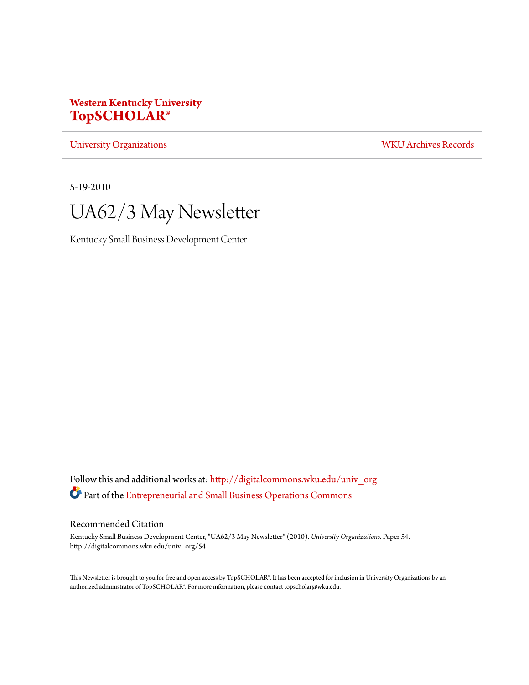# **Western Kentucky University [TopSCHOLAR®](http://digitalcommons.wku.edu?utm_source=digitalcommons.wku.edu%2Funiv_org%2F54&utm_medium=PDF&utm_campaign=PDFCoverPages)**

[University Organizations](http://digitalcommons.wku.edu/univ_org?utm_source=digitalcommons.wku.edu%2Funiv_org%2F54&utm_medium=PDF&utm_campaign=PDFCoverPages) [WKU Archives Records](http://digitalcommons.wku.edu/dlsc_ua_records?utm_source=digitalcommons.wku.edu%2Funiv_org%2F54&utm_medium=PDF&utm_campaign=PDFCoverPages)

5-19-2010



Kentucky Small Business Development Center

Follow this and additional works at: [http://digitalcommons.wku.edu/univ\\_org](http://digitalcommons.wku.edu/univ_org?utm_source=digitalcommons.wku.edu%2Funiv_org%2F54&utm_medium=PDF&utm_campaign=PDFCoverPages) Part of the [Entrepreneurial and Small Business Operations Commons](http://network.bepress.com/hgg/discipline/630?utm_source=digitalcommons.wku.edu%2Funiv_org%2F54&utm_medium=PDF&utm_campaign=PDFCoverPages)

### Recommended Citation

Kentucky Small Business Development Center, "UA62/3 May Newsletter" (2010). *University Organizations.* Paper 54. http://digitalcommons.wku.edu/univ\_org/54

This Newsletter is brought to you for free and open access by TopSCHOLAR®. It has been accepted for inclusion in University Organizations by an authorized administrator of TopSCHOLAR®. For more information, please contact topscholar@wku.edu.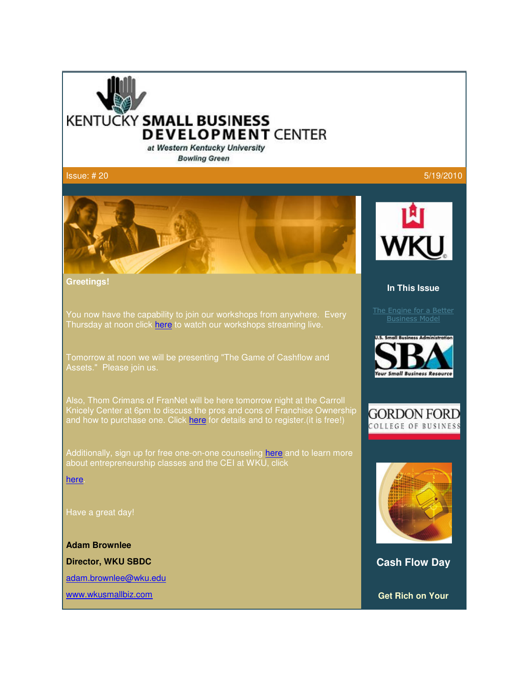

at Western Kentucky University **Bowling Green** 

 $\sf{Issue:}$  # 20  $\sf{5/19/2010}$ 



**Greetings!**

You now have the capability to join our workshops from anywhere. Every Thursday at noon click here to watch our workshops streaming live.

Tomorrow at noon we will be presenting "The Game of Cashflow and Assets." Please join us.

Also, Thom Crimans of FranNet will be here tomorrow night at the Carroll Knicely Center at 6pm to discuss the pros and cons of Franchise Ownership and how to purchase one. Click here for details and to register. (it is free!)

Additionally, sign up for free one-on-one counseling here and to learn more about entrepreneurship classes and the CEI at WKU, click

here.

Have a great day!

**Adam Brownlee Director, WKU SBDC** adam.brownlee@wku.edu www.wkusmallbiz.com



### **In This Issue**

The Engine for a Better Business Model







**Cash Flow Day** 

**Get Rich on Your**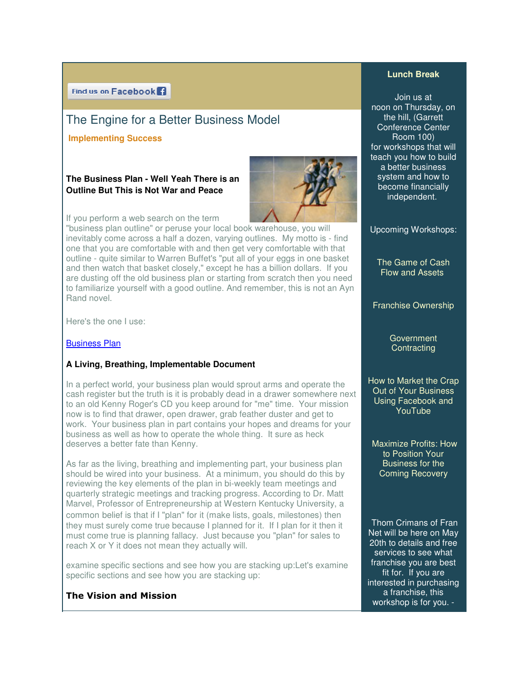# The Engine for a Better Business Model

### **Implementing Success**

### **The Business Plan - Well Yeah There is an Yeah There is an Outline But This is Not War and Peace**



If you perform a web search on the term

If you perform a web search on the term<br>"business plan outline" or peruse your local book warehouse, you will inevitably come across a half a dozen, varying outlines. My motto is - find one that you are comfortable with and then get very comfortable with that outline - quite similar to Warren Buffet's "put all of your eggs in one basket one that you are comfortable with and then get very comfortable with that<br>outline - quite similar to Warren Buffet's "put all of your eggs in one basket<br>and then watch that basket closely," except he has a billion dollars. are dusting off the old business plan or starting from scratch then you need to familiarize yourself with a good outline. And remember, this is not an Ayn Rand novel.

Here's the one I use:

### Business Plan

### **A Living, Breathing, Implementable Document plementable Document**

In a perfect world, your business plan would sprout arms and operate the cash register but the truth is it is probably dead in a drawer somewhere next to an old Kenny Roger's CD you keep around for "me" time. now is to find that drawer, open drawer, grab feather duster and get to work. Your business plan in part contains your hopes and dreams for your business as well as how to operate the whole thing. It sure as heck deserves a better fate than Kenny. In a perfect world, your business plan would sprout arms and operate the<br>cash register but the truth is it is probably dead in a drawer somewhere ne:<br>to an old Kenny Roger's CD you keep around for "me" time. Your mission awer, open drawer, grab feather duster and get<br>s plan in part contains your hopes and dreams fo<br>how to operate the whole thing. It sure as heck

As far as the living, breathing and implementing part, your business plan deserves a better fate than Kenny.<br>As far as the living, breathing and implementing part, your business plan<br>should be wired into your business. At a minimum, you should do this by reviewing the key elements of the plan in bi-weekly team meetings and quarterly strategic meetings and tracking progress. According to Dr. Matt Marvel, Professor of Entrepreneurship at Western Kentucky University, a common belief is that if I "plan" for it (make lists, goals, milestones) then they must surely come true because I planned for it. If I plan for it then it must come true is planning fallacy. Just because you "plan" for sales to reach X or Y it does not mean they actually will. r of Entrepreneurship at Western Kentucky University, a<br>that if I "plan" for it (make lists, goals, milestones) then<br>come true because I planned for it. If I plan for it then it **Lunch Break**<br> **Lunch Break**<br> **Room on Thursday**<br> **Lunch Break**<br> **Room on Thursday**<br> **Lunch Breakl, Conformed and the full (Garrison too)<br>
<b>Lunch Breakly**<br> **Lunch Breakly (Conformed and the full (Garrison to the funch Brea** 

examine specific sections and see how you are stacking up:Let's examine specific sections and see how you are stacking up:

### The Vision and Mission

Join us at noon on on Thursday, on the the hill, (Garrett Conference Center Room 100) for workshops that will teach you how to build a better business system and how to become financially system and financially independent. independent. Conference Center<br>Room 100)<br>Pr workshops that will<br>ach you how to build

Upcoming Workshops:

The Game of Cash Flow and Assets Assets

Franchise Ownership Franchise

**Government Contracting** 

How to Market the Crap Out of Your Out of Your Business Using Facebook and YouTube

Maximize Profits: How to Position Your Business for the Coming Recovery Maximize Profits: How<br>to Position Your<br>Business for the<br>Coming Recovery

Thom Crimans of Fran Net will be here on May Thom Crimans of Fran<br>Net will be here on May<br>20th to details and free services to see what franchise you are best franchise for. If you are fit for. If you are interested in purchasing a franchise, this workshop is for you. -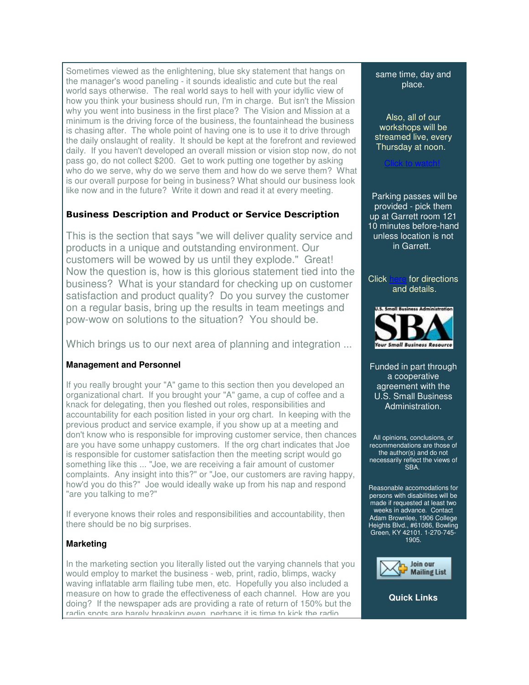Sometimes viewed as the enlightening, blue sky statement that hangs on the manager's wood paneling - it sounds idealistic and cute but the real world says otherwise. The real world says to hell with your idyllic view of how you think your business should run, I'm in charge. But isn't the Mission why you went into business in the first place? The Vision and Mission at a minimum is the driving force of the business, the fountainhead the business is chasing after. The whole point of having one is to use it to drive through the daily onslaught of reality. It should be kept at the forefront and reviewed daily. If you haven't developed an overall mission or vision stop now, do not pass go, do not collect \$200. Get to work putting one together by asking who do we serve, why do we serve them and how do we serve them? What is our overall purpose for being in business? What should our business look like now and in the future? Write it down and read it at every meeting.

# Business Description and Product or Service Description

This is the section that says "we will deliver quality service and products in a unique and outstanding environment. Our customers will be wowed by us until they explode." Great! Now the question is, how is this glorious statement tied into the business? What is your standard for checking up on customer satisfaction and product quality? Do you survey the customer on a regular basis, bring up the results in team meetings and pow-wow on solutions to the situation? You should be.

Which brings us to our next area of planning and integration ...

# **Management and Personnel**

If you really brought your "A" game to this section then you developed an organizational chart. If you brought your "A" game, a cup of coffee and a knack for delegating, then you fleshed out roles, responsibilities and accountability for each position listed in your org chart. In keeping with the previous product and service example, if you show up at a meeting and don't know who is responsible for improving customer service, then chances are you have some unhappy customers. If the org chart indicates that Joe is responsible for customer satisfaction then the meeting script would go something like this ... "Joe, we are receiving a fair amount of customer complaints. Any insight into this?" or "Joe, our customers are raving happy, how'd you do this?" Joe would ideally wake up from his nap and respond "are you talking to me?"

If everyone knows their roles and responsibilities and accountability, then there should be no big surprises.

# **Marketing**

In the marketing section you literally listed out the varying channels that you would employ to market the business - web, print, radio, blimps, wacky waving inflatable arm flailing tube men, etc. Hopefully you also included a measure on how to grade the effectiveness of each channel. How are you doing? If the newspaper ads are providing a rate of return of 150% but the radio spots are barely breaking even, perhaps it is time to kick the radio

### same time, day and place.

Also, all of our workshops will be streamed live, every Thursday at noon.

Click to watch!

Parking passes will be provided - pick them up at Garrett room 121 10 minutes before-hand unless location is not in Garrett.

### Click here for directions and details.



Funded in part through a cooperative agreement with the U.S. Small Business Administration.

All opinions, conclusions, or recommendations are those of the author(s) and do not necessarily reflect the views of SRA

Reasonable accomodations for persons with disabilities will be made if requested at least two weeks in advance. Contact Adam Brownlee, 1906 College Heights Blvd., #61086, Bowling Green, KY 42101. 1-270-745- 1905.



**Quick Links**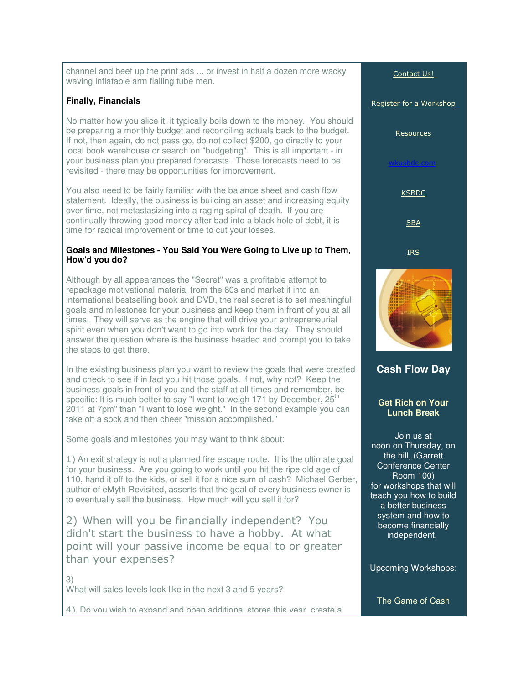channel and beef up the print ads ... or invest in half a dozen more wacky waving inflatable arm flailing tube men.

# **Finally, Financials**

No matter how you slice it, it typically boils down to the money. You should be preparing a monthly budget and reconciling actuals back to the budget. If not, then again, do not pass go, do not collect \$200, go directly to your local book warehouse or search on "budgeting". This is all important - in your business plan you prepared forecasts. Those forecasts need to be revisited - there may be opportunities for improvement.

You also need to be fairly familiar with the balance sheet and cash flow statement. Ideally, the business is building an asset and increasing equity over time, not metastasizing into a raging spiral of death. If you are continually throwing good money after bad into a black hole of debt, it is time for radical improvement or time to cut your losses.

### **Goals and Milestones - You Said You Were Going to Live up to Them, How'd you do?**

Although by all appearances the "Secret" was a profitable attempt to repackage motivational material from the 80s and market it into an international bestselling book and DVD, the real secret is to set meaningful goals and milestones for your business and keep them in front of you at all times. They will serve as the engine that will drive your entrepreneurial spirit even when you don't want to go into work for the day. They should answer the question where is the business headed and prompt you to take the steps to get there.

In the existing business plan you want to review the goals that were created and check to see if in fact you hit those goals. If not, why not? Keep the business goals in front of you and the staff at all times and remember, be specific: It is much better to say "I want to weigh 171 by December, 25<sup>th</sup> 2011 at 7pm" than "I want to lose weight." In the second example you can take off a sock and then cheer "mission accomplished."

Some goals and milestones you may want to think about:

1) An exit strategy is not a planned fire escape route. It is the ultimate goal for your business. Are you going to work until you hit the ripe old age of 110, hand it off to the kids, or sell it for a nice sum of cash? Michael Gerber, author of eMyth Revisited, asserts that the goal of every business owner is to eventually sell the business. How much will you sell it for?

2) When will you be financially independent? You didn't start the business to have a hobby. At what point will your passive income be equal to or greater than your expenses?

3) What will sales levels look like in the next 3 and 5 years?

4) Do you wish to expand and open additional stores this year, create a



**Get Rich on Your Lunch Break**

Join us at noon on Thursday, on the hill, (Garrett Conference Center Room 100) for workshops that will teach you how to build a better business system and how to become financially independent.

Upcoming Workshops:

The Game of Cash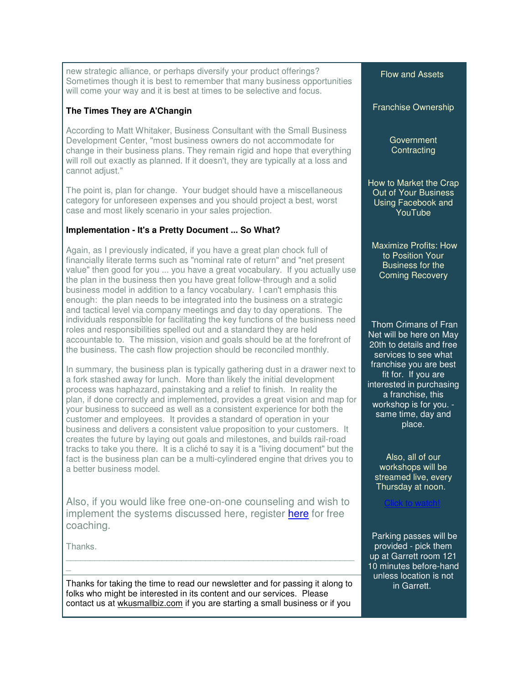new strategic alliance, or perhaps diversify your product offerings? Sometimes though it is best to remember that many business opportunities will come your way and it is best at times to be selective and focus.

# **The Times They are A'Changin**

According to Matt Whitaker, Business Consultant with the Small Business Development Center, "most business owners do not accommodate for change in their business plans. They remain rigid and hope that everything will roll out exactly as planned. If it doesn't, they are typically at a loss and cannot adjust."

The point is, plan for change. Your budget should have a miscellaneous category for unforeseen expenses and you should project a best, worst case and most likely scenario in your sales projection.

# **Implementation - It's a Pretty Document ... So What?**

Again, as I previously indicated, if you have a great plan chock full of financially literate terms such as "nominal rate of return" and "net present value" then good for you ... you have a great vocabulary. If you actually use the plan in the business then you have great follow-through and a solid business model in addition to a fancy vocabulary. I can't emphasis this enough: the plan needs to be integrated into the business on a strategic and tactical level via company meetings and day to day operations. The individuals responsible for facilitating the key functions of the business need roles and responsibilities spelled out and a standard they are held accountable to. The mission, vision and goals should be at the forefront of the business. The cash flow projection should be reconciled monthly.

In summary, the business plan is typically gathering dust in a drawer next to a fork stashed away for lunch. More than likely the initial development process was haphazard, painstaking and a relief to finish. In reality the plan, if done correctly and implemented, provides a great vision and map for your business to succeed as well as a consistent experience for both the customer and employees. It provides a standard of operation in your business and delivers a consistent value proposition to your customers. It creates the future by laying out goals and milestones, and builds rail-road tracks to take you there. It is a cliché to say it is a "living document" but the fact is the business plan can be a multi-cylindered engine that drives you to a better business model.

Also, if you would like free one-on-one counseling and wish to implement the systems discussed here, register here for free coaching.

Thanks.

 $\overline{a}$ 

Thanks for taking the time to read our newsletter and for passing it along to folks who might be interested in its content and our services. Please contact us at wkusmallbiz.com if you are starting a small business or if you

Flow and Assets

Franchise Ownership

**Government Contracting** 

How to Market the Crap Out of Your Business Using Facebook and YouTube

 Maximize Profits: How to Position Your Business for the Coming Recovery

Thom Crimans of Fran Net will be here on May 20th to details and free services to see what franchise you are best fit for. If you are interested in purchasing a franchise, this workshop is for you. same time, day and place.

Also, all of our workshops will be streamed live, every Thursday at noon.

Click to watch!

Parking passes will be provided - pick them up at Garrett room 121 10 minutes before-hand unless location is not in Garrett.